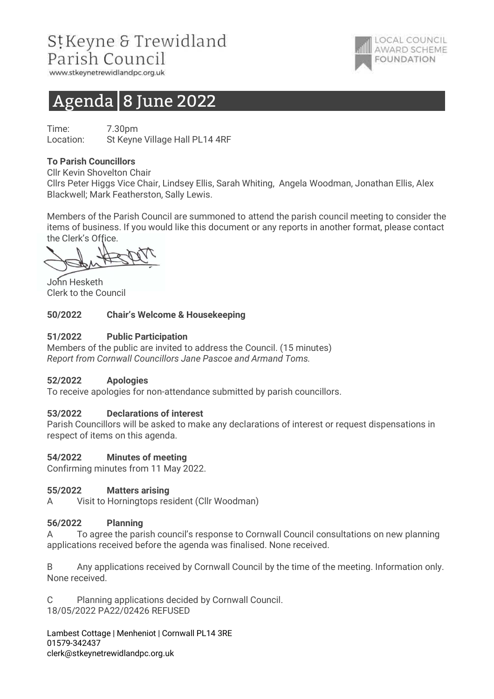## StKeyne & Trewidland Parish Council

www.stkeynetrewidlandpc.org.uk

# Agenda 8 June 2022

Time: 7.30pm Location: St Keyne Village Hall PL14 4RF

## To Parish Councillors

Cllr Kevin Shovelton Chair

Cllrs Peter Higgs Vice Chair, Lindsey Ellis, Sarah Whiting, Angela Woodman, Jonathan Ellis, Alex Blackwell; Mark Featherston, Sally Lewis.

**LOCAL COUNCIL** AWARD SCHEME

**FOUNDATION** 

Members of the Parish Council are summoned to attend the parish council meeting to consider the items of business. If you would like this document or any reports in another format, please contact the Clerk's Office.

John Hesketh Clerk to the Council

## 50/2022 Chair's Welcome & Housekeeping

#### 51/2022 Public Participation

Members of the public are invited to address the Council. (15 minutes) Report from Cornwall Councillors Jane Pascoe and Armand Toms.

#### 52/2022 Apologies

To receive apologies for non-attendance submitted by parish councillors.

## 53/2022 Declarations of interest

Parish Councillors will be asked to make any declarations of interest or request dispensations in respect of items on this agenda.

#### 54/2022 Minutes of meeting

Confirming minutes from 11 May 2022.

#### 55/2022 Matters arising

A Visit to Horningtops resident (Cllr Woodman)

#### 56/2022 Planning

A To agree the parish council's response to Cornwall Council consultations on new planning applications received before the agenda was finalised. None received.

B Any applications received by Cornwall Council by the time of the meeting. Information only. None received.

C Planning applications decided by Cornwall Council. 18/05/2022 PA22/02426 REFUSED

Lambest Cottage | Menheniot | Cornwall PL14 3RE 01579-342437 clerk@stkeynetrewidlandpc.org.uk